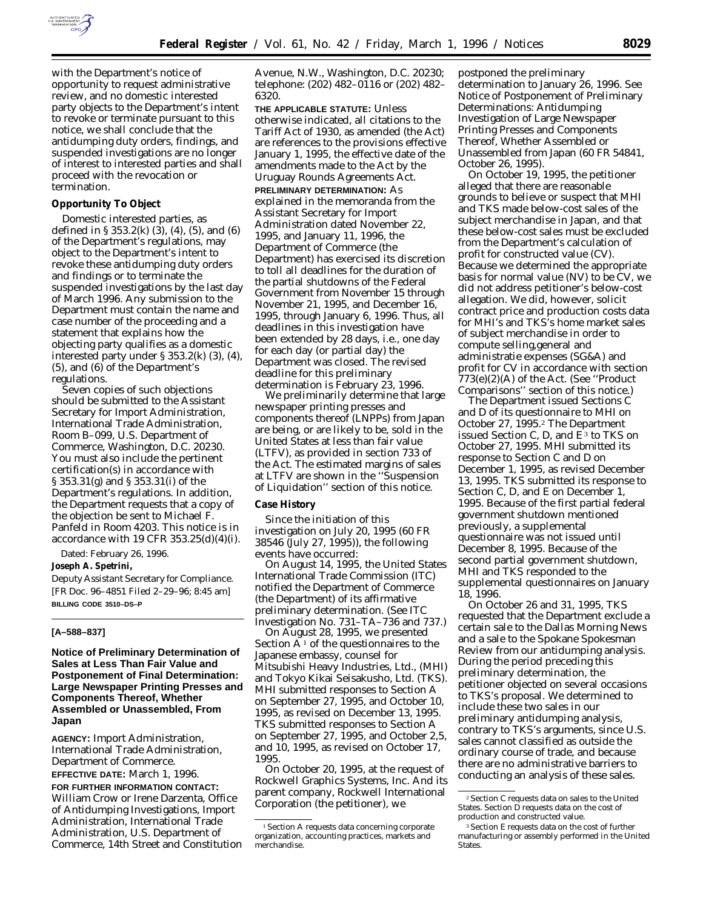

with the Department's notice of opportunity to request administrative review, and no domestic interested party objects to the Department's intent to revoke or terminate pursuant to this notice, we shall conclude that the antidumping duty orders, findings, and suspended investigations are no longer of interest to interested parties and shall proceed with the revocation or termination.

## **Opportunity To Object**

Domestic interested parties, as defined in § 353.2(k) (3), (4), (5), and (6) of the Department's regulations, may object to the Department's intent to revoke these antidumping duty orders and findings or to terminate the suspended investigations by the last day of March 1996. Any submission to the Department must contain the name and case number of the proceeding and a statement that explains how the objecting party qualifies as a domestic interested party under  $\S 353.2(k)$  (3), (4), (5), and (6) of the Department's regulations.

Seven copies of such objections should be submitted to the Assistant Secretary for Import Administration, International Trade Administration, Room B–099, U.S. Department of Commerce, Washington, D.C. 20230. You must also include the pertinent certification(s) in accordance with § 353.31(g) and § 353.31(i) of the Department's regulations. In addition, the Department requests that a copy of the objection be sent to Michael F. Panfeld in Room 4203. This notice is in accordance with 19 CFR 353.25(d)(4)(i).

Dated: February 26, 1996.

# **Joseph A. Spetrini,**

*Deputy Assistant Secretary for Compliance.* [FR Doc. 96–4851 Filed 2–29–96; 8:45 am] **BILLING CODE 3510–DS–P**

#### **[A–588–837]**

# **Notice of Preliminary Determination of Sales at Less Than Fair Value and Postponement of Final Determination: Large Newspaper Printing Presses and Components Thereof, Whether Assembled or Unassembled, From Japan**

**AGENCY:** Import Administration, International Trade Administration, Department of Commerce.

**EFFECTIVE DATE:** March 1, 1996. **FOR FURTHER INFORMATION CONTACT:** William Crow or Irene Darzenta, Office of Antidumping Investigations, Import Administration, International Trade Administration, U.S. Department of Commerce, 14th Street and Constitution Avenue, N.W., Washington, D.C. 20230; telephone: (202) 482–0116 or (202) 482– 6320.

**THE APPLICABLE STATUTE:** Unless otherwise indicated, all citations to the Tariff Act of 1930, as amended (the Act) are references to the provisions effective January 1, 1995, the effective date of the amendments made to the Act by the Uruguay Rounds Agreements Act. **PRELIMINARY DETERMINATION:** As explained in the memoranda from the Assistant Secretary for Import Administration dated November 22, 1995, and January 11, 1996, the Department of Commerce (the Department) has exercised its discretion to toll all deadlines for the duration of the partial shutdowns of the Federal Government from November 15 through November 21, 1995, and December 16, 1995, through January 6, 1996. Thus, all deadlines in this investigation have been extended by 28 days, *i.e.,* one day for each day (or partial day) the Department was closed. The revised deadline for this preliminary determination is February 23, 1996.

We preliminarily determine that large newspaper printing presses and components thereof (LNPPs) from Japan are being, or are likely to be, sold in the United States at less than fair value (LTFV), as provided in section 733 of the Act. The estimated margins of sales at LTFV are shown in the ''Suspension of Liquidation'' section of this notice.

#### **Case History**

Since the initiation of this investigation on July 20, 1995 (60 FR 38546 (July 27, 1995)), the following events have occurred:

On August 14, 1995, the United States International Trade Commission (ITC) notified the Department of Commerce (the Department) of its affirmative preliminary determination. (See ITC Investigation No. 731–TA–736 and 737.)

On August 28, 1995, we presented Section  $A^1$  of the questionnaires to the Japanese embassy, counsel for Mitsubishi Heavy Industries, Ltd., (MHI) and Tokyo Kikai Seisakusho, Ltd. (TKS). MHI submitted responses to Section A on September 27, 1995, and October 10, 1995, as revised on December 13, 1995. TKS submitted responses to Section A on September 27, 1995, and October 2,5, and 10, 1995, as revised on October 17, 1995.

On October 20, 1995, at the request of Rockwell Graphics Systems, Inc. And its parent company, Rockwell International Corporation (the petitioner), we

postponed the preliminary determination to January 26, 1996. *See* Notice of Postponement of Preliminary Determinations: Antidumping Investigation of Large Newspaper Printing Presses and Components Thereof, Whether Assembled or Unassembled from Japan (60 FR 54841, October 26, 1995).

On October 19, 1995, the petitioner alleged that there are reasonable grounds to believe or suspect that MHI and TKS made below-cost sales of the subject merchandise in Japan, and that these below-cost sales must be excluded from the Department's calculation of profit for constructed value (CV). Because we determined the appropriate basis for normal value (NV) to be CV, we did not address petitioner's below-cost allegation. We did, however, solicit contract price and production costs data for MHI's and TKS's home market sales of subject merchandise in order to compute selling,general and administratie expenses (SG&A) and profit for CV in accordance with section 773(e)(2)(A) of the Act. (*See* ''Product Comparisons'' section of this notice.)

The Department issued Sections C and D of its questionnaire to MHI on October 27, 1995.2 The Department issued Section C, D, and  $E^3$  to TKS on October 27, 1995. MHI submitted its response to Section C and D on December 1, 1995, as revised December 13, 1995. TKS submitted its response to Section C, D, and E on December 1, 1995. Because of the first partial federal government shutdown mentioned previously, a supplemental questionnaire was not issued until December 8, 1995. Because of the second partial government shutdown, MHI and TKS responded to the supplemental questionnaires on January 18, 1996.

On October 26 and 31, 1995, TKS requested that the Department exclude a certain sale to the Dallas Morning News and a sale to the Spokane Spokesman Review from our antidumping analysis. During the period preceding this preliminary determination, the petitioner objected on several occasions to TKS's proposal. We determined to include these two sales in our preliminary antidumping analysis, contrary to TKS's arguments, since U.S. sales cannot classified as outside the ordinary course of trade, and because there are no administrative barriers to conducting an analysis of these sales.

<sup>&</sup>lt;sup>1</sup> Section A requests data concerning corporate organization, accounting practices, markets and merchandise.

<sup>2</sup>Section C requests data on sales to the United States. Section D requests data on the cost of production and constructed value.

<sup>3</sup>Section E requests data on the cost of further manufacturing or assembly performed in the United States.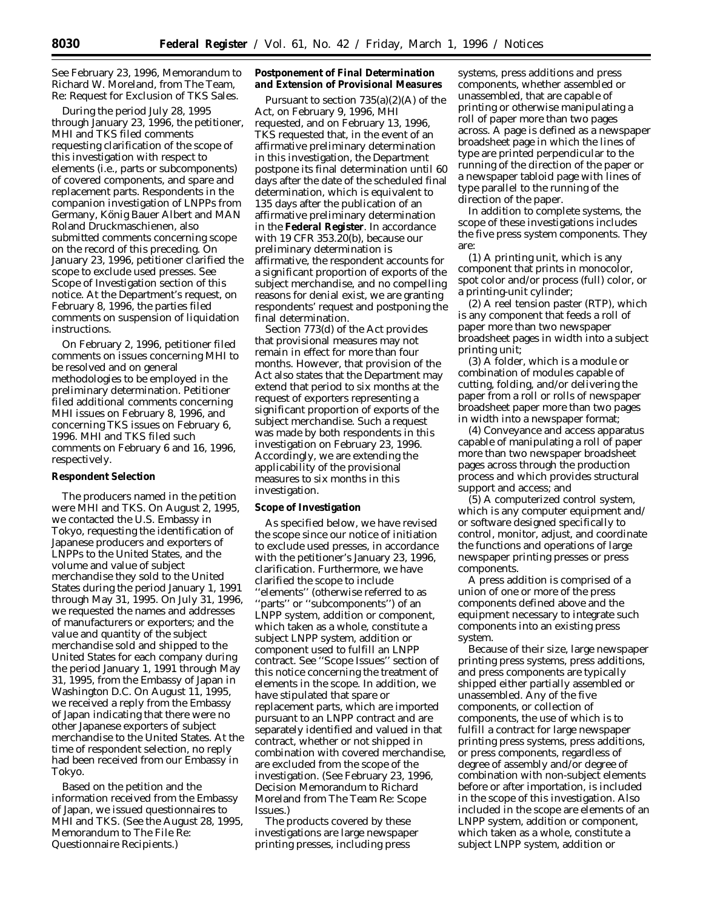See February 23, 1996, Memorandum to Richard W. Moreland, from The Team, Re: Request for Exclusion of TKS Sales.

During the period July 28, 1995 through January 23, 1996, the petitioner, MHI and TKS filed comments requesting clarification of the scope of this investigation with respect to elements (*i.e.,* parts or subcomponents) of covered components, and spare and replacement parts. Respondents in the companion investigation of LNPPs from Germany, König Bauer Albert and MAN Roland Druckmaschienen, also submitted comments concerning scope on the record of this preceding. On January 23, 1996, petitioner clarified the scope to exclude used presses. *See* Scope of Investigation section of this notice. At the Department's request, on February 8, 1996, the parties filed comments on suspension of liquidation instructions.

On February 2, 1996, petitioner filed comments on issues concerning MHI to be resolved and on general methodologies to be employed in the preliminary determination. Petitioner filed additional comments concerning MHI issues on February 8, 1996, and concerning TKS issues on February 6, 1996. MHI and TKS filed such comments on February 6 and 16, 1996, respectively.

## **Respondent Selection**

The producers named in the petition were MHI and TKS. On August 2, 1995, we contacted the U.S. Embassy in Tokyo, requesting the identification of Japanese producers and exporters of LNPPs to the United States, and the volume and value of subject merchandise they sold to the United States during the period January 1, 1991 through May 31, 1995. On July 31, 1996, we requested the names and addresses of manufacturers or exporters; and the value and quantity of the subject merchandise sold and shipped to the United States for each company during the period January 1, 1991 through May 31, 1995, from the Embassy of Japan in Washington D.C. On August 11, 1995, we received a reply from the Embassy of Japan indicating that there were no other Japanese exporters of subject merchandise to the United States. At the time of respondent selection, no reply had been received from our Embassy in Tokyo.

Based on the petition and the information received from the Embassy of Japan, we issued questionnaires to MHI and TKS. (See the August 28, 1995, Memorandum to The File Re: Questionnaire Recipients.)

**Postponement of Final Determination and Extension of Provisional Measures**

Pursuant to section 735(a)(2)(A) of the Act, on February 9, 1996, MHI requested, and on February 13, 1996, TKS requested that, in the event of an affirmative preliminary determination in this investigation, the Department postpone its final determination until 60 days after the date of the scheduled final determination, which is equivalent to 135 days after the publication of an affirmative preliminary determination in the **Federal Register**. In accordance with 19 CFR 353.20(b), because our preliminary determination is affirmative, the respondent accounts for a significant proportion of exports of the subject merchandise, and no compelling reasons for denial exist, we are granting respondents' request and postponing the final determination.

Section 773(d) of the Act provides that provisional measures may not remain in effect for more than four months. However, that provision of the Act also states that the Department may extend that period to six months at the request of exporters representing a significant proportion of exports of the subject merchandise. Such a request was made by both respondents in this investigation on February 23, 1996. Accordingly, we are extending the applicability of the provisional measures to six months in this investigation.

#### **Scope of Investigation**

As specified below, we have revised the scope since our notice of initiation to exclude used presses, in accordance with the petitioner's January 23, 1996, clarification. Furthermore, we have clarified the scope to include ''elements'' (otherwise referred to as ''parts'' or ''subcomponents'') of an LNPP system, addition or component, which taken as a whole, constitute a subject LNPP system, addition or component used to fulfill an LNPP contract. See ''Scope Issues'' section of this notice concerning the treatment of elements in the scope. In addition, we have stipulated that spare or replacement parts, which are imported pursuant to an LNPP contract and are separately identified and valued in that contract, whether or not shipped in combination with covered merchandise, are excluded from the scope of the investigation. (See February 23, 1996, Decision Memorandum to Richard Moreland from The Team Re: Scope Issues.)

The products covered by these investigations are large newspaper printing presses, including press

systems, press additions and press components, whether assembled or unassembled, that are capable of printing or otherwise manipulating a roll of paper more than two pages across. A page is defined as a newspaper broadsheet page in which the lines of type are printed perpendicular to the running of the direction of the paper or a newspaper tabloid page with lines of type parallel to the running of the direction of the paper.

In addition to complete systems, the scope of these investigations includes the five press system components. They are:

(1) A printing unit, which is any component that prints in monocolor, spot color and/or process (full) color, or a printing-unit cylinder;

(2) A reel tension paster (RTP), which is any component that feeds a roll of paper more than two newspaper broadsheet pages in width into a subject printing unit;

(3) A folder, which is a module or combination of modules capable of cutting, folding, and/or delivering the paper from a roll or rolls of newspaper broadsheet paper more than two pages in width into a newspaper format;

(4) Conveyance and access apparatus capable of manipulating a roll of paper more than two newspaper broadsheet pages across through the production process and which provides structural support and access; and

(5) A computerized control system, which is any computer equipment and/ or software designed specifically to control, monitor, adjust, and coordinate the functions and operations of large newspaper printing presses or press components.

A press addition is comprised of a union of one or more of the press components defined above and the equipment necessary to integrate such components into an existing press system.

Because of their size, large newspaper printing press systems, press additions, and press components are typically shipped either partially assembled or unassembled. Any of the five components, or collection of components, the use of which is to fulfill a contract for large newspaper printing press systems, press additions, or press components, regardless of degree of assembly and/or degree of combination with non-subject elements before or after importation, is included in the scope of this investigation. Also included in the scope are elements of an LNPP system, addition or component, which taken as a whole, constitute a subject LNPP system, addition or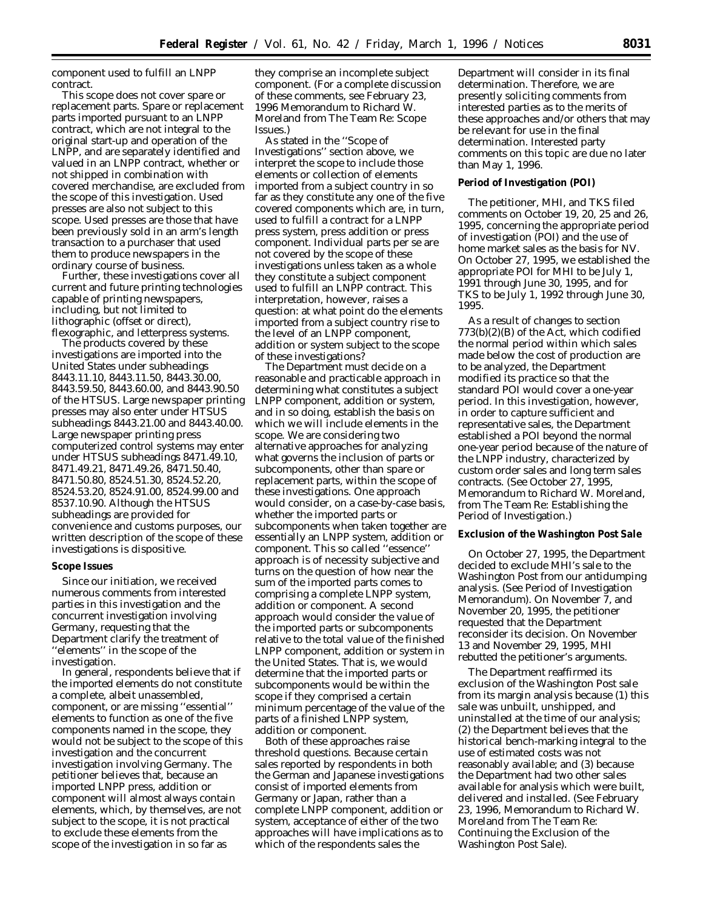component used to fulfill an LNPP contract.

This scope does not cover spare or replacement parts. Spare or replacement parts imported pursuant to an LNPP contract, which are not integral to the original start-up and operation of the LNPP, and are separately identified and valued in an LNPP contract, whether or not shipped in combination with covered merchandise, are excluded from the scope of this investigation. Used presses are also not subject to this scope. Used presses are those that have been previously sold in an arm's length transaction to a purchaser that used them to produce newspapers in the ordinary course of business.

Further, these investigations cover all current and future printing technologies capable of printing newspapers, including, but not limited to lithographic (offset or direct), flexographic, and letterpress systems.

The products covered by these investigations are imported into the United States under subheadings 8443.11.10, 8443.11.50, 8443.30.00, 8443.59.50, 8443.60.00, and 8443.90.50 of the HTSUS. Large newspaper printing presses may also enter under HTSUS subheadings 8443.21.00 and 8443.40.00. Large newspaper printing press computerized control systems may enter under HTSUS subheadings 8471.49.10, 8471.49.21, 8471.49.26, 8471.50.40, 8471.50.80, 8524.51.30, 8524.52.20, 8524.53.20, 8524.91.00, 8524.99.00 and 8537.10.90. Although the HTSUS subheadings are provided for convenience and customs purposes, our written description of the scope of these investigations is dispositive.

#### **Scope Issues**

Since our initiation, we received numerous comments from interested parties in this investigation and the concurrent investigation involving Germany, requesting that the Department clarify the treatment of ''elements'' in the scope of the investigation.

In general, respondents believe that if the imported elements do not constitute a complete, albeit unassembled, component, or are missing ''essential'' elements to function as one of the five components named in the scope, they would not be subject to the scope of this investigation and the concurrent investigation involving Germany. The petitioner believes that, because an imported LNPP press, addition or component will almost always contain elements, which, by themselves, are not subject to the scope, it is not practical to exclude these elements from the scope of the investigation in so far as

they comprise an incomplete subject component. (For a complete discussion of these comments, see February 23, 1996 Memorandum to Richard W. Moreland from The Team Re: Scope Issues.)

As stated in the ''Scope of Investigations'' section above, we interpret the scope to include those elements or collection of elements imported from a subject country in so far as they constitute any one of the five covered components which are, in turn, used to fulfill a contract for a LNPP press system, press addition or press component. Individual parts per se are not covered by the scope of these investigations unless taken as a whole they constitute a subject component used to fulfill an LNPP contract. This interpretation, however, raises a question: at what point do the elements imported from a subject country rise to the level of an LNPP component, addition or system subject to the scope of these investigations?

The Department must decide on a reasonable and practicable approach in determining what constitutes a subject LNPP component, addition or system, and in so doing, establish the basis on which we will include elements in the scope. We are considering two alternative approaches for analyzing what governs the inclusion of parts or subcomponents, other than spare or replacement parts, within the scope of these investigations. One approach would consider, on a case-by-case basis, whether the imported parts or subcomponents when taken together are essentially an LNPP system, addition or component. This so called ''essence'' approach is of necessity subjective and turns on the question of how near the sum of the imported parts comes to comprising a complete LNPP system, addition or component. A second approach would consider the value of the imported parts or subcomponents relative to the total value of the finished LNPP component, addition or system in the United States. That is, we would determine that the imported parts or subcomponents would be within the scope if they comprised a certain minimum percentage of the value of the parts of a finished LNPP system, addition or component.

Both of these approaches raise threshold questions. Because certain sales reported by respondents in both the German and Japanese investigations consist of imported elements from Germany or Japan, rather than a complete LNPP component, addition or system, acceptance of either of the two approaches will have implications as to which of the respondents sales the

Department will consider in its final determination. Therefore, we are presently soliciting comments from interested parties as to the merits of these approaches and/or others that may be relevant for use in the final determination. Interested party comments on this topic are due no later than May 1, 1996.

## **Period of Investigation (POI)**

The petitioner, MHI, and TKS filed comments on October 19, 20, 25 and 26, 1995, concerning the appropriate period of investigation (POI) and the use of home market sales as the basis for NV On October 27, 1995, we established the appropriate POI for MHI to be July 1, 1991 through June 30, 1995, and for TKS to be July 1, 1992 through June 30, 1995.

As a result of changes to section 773(b)(2)(B) of the Act, which codified the normal period within which sales made below the cost of production are to be analyzed, the Department modified its practice so that the standard POI would cover a one-year period. In this investigation, however, in order to capture sufficient and representative sales, the Department established a POI beyond the normal one-year period because of the nature of the LNPP industry, characterized by custom order sales and long term sales contracts. (See October 27, 1995, Memorandum to Richard W. Moreland, from The Team Re: Establishing the Period of Investigation.)

## **Exclusion of the Washington Post Sale**

On October 27, 1995, the Department decided to exclude MHI's sale to the Washington Post from our antidumping analysis. (See Period of Investigation Memorandum). On November 7, and November 20, 1995, the petitioner requested that the Department reconsider its decision. On November 13 and November 29, 1995, MHI rebutted the petitioner's arguments.

The Department reaffirmed its exclusion of the Washington Post sale from its margin analysis because (1) this sale was unbuilt, unshipped, and uninstalled at the time of our analysis; (2) the Department believes that the historical bench-marking integral to the use of estimated costs was not reasonably available; and (3) because the Department had two other sales available for analysis which were built, delivered and installed. (See February 23, 1996, Memorandum to Richard W. Moreland from The Team Re: Continuing the Exclusion of the Washington Post Sale).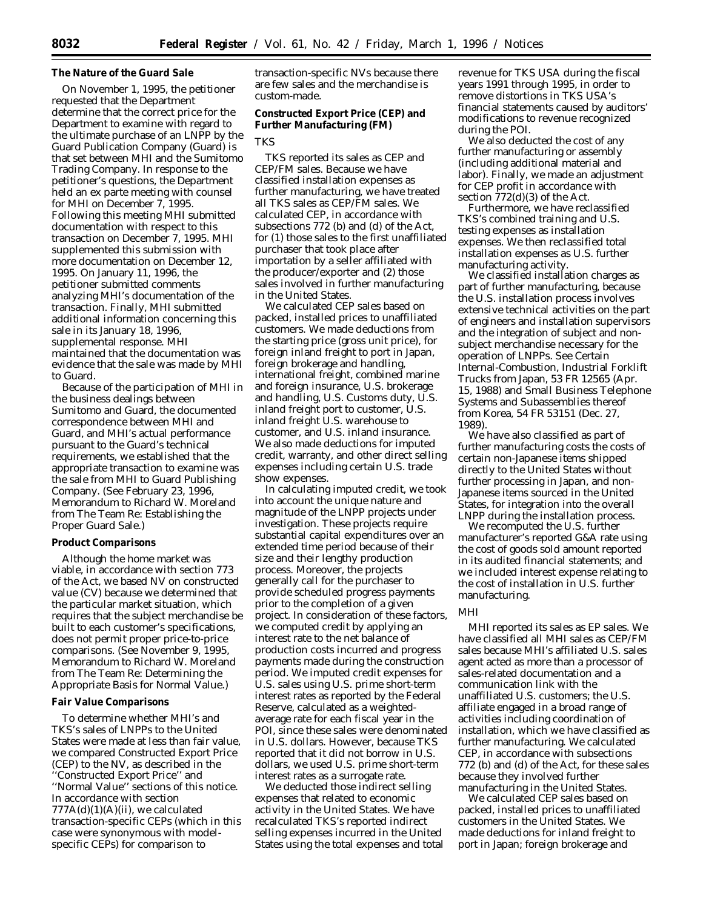# **The Nature of the Guard Sale**

On November 1, 1995, the petitioner requested that the Department determine that the correct price for the Department to examine with regard to the ultimate purchase of an LNPP by the Guard Publication Company (Guard) is that set between MHI and the Sumitomo Trading Company. In response to the petitioner's questions, the Department held an ex parte meeting with counsel for MHI on December 7, 1995. Following this meeting MHI submitted documentation with respect to this transaction on December 7, 1995. MHI supplemented this submission with more documentation on December 12, 1995. On January 11, 1996, the petitioner submitted comments analyzing MHI's documentation of the transaction. Finally, MHI submitted additional information concerning this sale in its January 18, 1996, supplemental response. MHI maintained that the documentation was evidence that the sale was made by MHI to Guard.

Because of the participation of MHI in the business dealings between Sumitomo and Guard, the documented correspondence between MHI and Guard, and MHI's actual performance pursuant to the Guard's technical requirements, we established that the appropriate transaction to examine was the sale from MHI to Guard Publishing Company. (See February 23, 1996, Memorandum to Richard W. Moreland from The Team Re: Establishing the Proper Guard Sale.)

### **Product Comparisons**

Although the home market was viable, in accordance with section 773 of the Act, we based NV on constructed value (CV) because we determined that the particular market situation, which requires that the subject merchandise be built to each customer's specifications, does not permit proper price-to-price comparisons. (See November 9, 1995, Memorandum to Richard W. Moreland from The Team Re: Determining the Appropriate Basis for Normal Value.)

#### **Fair Value Comparisons**

To determine whether MHI's and TKS's sales of LNPPs to the United States were made at less than fair value, we compared Constructed Export Price (CEP) to the NV, as described in the ''Constructed Export Price'' and ''Normal Value'' sections of this notice. In accordance with section  $777A(d)(1)(A)(ii)$ , we calculated transaction-specific CEPs (which in this case were synonymous with modelspecific CEPs) for comparison to

transaction-specific NVs because there are few sales and the merchandise is custom-made.

**Constructed Export Price (CEP) and Further Manufacturing (FM)**

#### *TKS*

TKS reported its sales as CEP and CEP/FM sales. Because we have classified installation expenses as further manufacturing, we have treated all TKS sales as CEP/FM sales. We calculated CEP, in accordance with subsections 772 (b) and (d) of the Act, for (1) those sales to the first unaffiliated purchaser that took place after importation by a seller affiliated with the producer/exporter and (2) those sales involved in further manufacturing in the United States.

We calculated CEP sales based on packed, installed prices to unaffiliated customers. We made deductions from the starting price (gross unit price), for foreign inland freight to port in Japan, foreign brokerage and handling, international freight, combined marine and foreign insurance, U.S. brokerage and handling, U.S. Customs duty, U.S. inland freight port to customer, U.S. inland freight U.S. warehouse to customer, and U.S. inland insurance. We also made deductions for imputed credit, warranty, and other direct selling expenses including certain U.S. trade show expenses.

In calculating imputed credit, we took into account the unique nature and magnitude of the LNPP projects under investigation. These projects require substantial capital expenditures over an extended time period because of their size and their lengthy production process. Moreover, the projects generally call for the purchaser to provide scheduled progress payments prior to the completion of a given project. In consideration of these factors, we computed credit by applying an interest rate to the net balance of production costs incurred and progress payments made during the construction period. We imputed credit expenses for U.S. sales using U.S. prime short-term interest rates as reported by the Federal Reserve, calculated as a weightedaverage rate for each fiscal year in the POI, since these sales were denominated in U.S. dollars. However, because TKS reported that it did not borrow in U.S. dollars, we used U.S. prime short-term interest rates as a surrogate rate.

We deducted those indirect selling expenses that related to economic activity in the United States. We have recalculated TKS's reported indirect selling expenses incurred in the United States using the total expenses and total revenue for TKS USA during the fiscal years 1991 through 1995, in order to remove distortions in TKS USA's financial statements caused by auditors' modifications to revenue recognized during the POI.

We also deducted the cost of any further manufacturing or assembly (including additional material and labor). Finally, we made an adjustment for CEP profit in accordance with section 772(d)(3) of the Act.

Furthermore, we have reclassified TKS's combined training and U.S. testing expenses as installation expenses. We then reclassified total installation expenses as U.S. further manufacturing activity.

We classified installation charges as part of further manufacturing, because the U.S. installation process involves extensive technical activities on the part of engineers and installation supervisors and the integration of subject and nonsubject merchandise necessary for the operation of LNPPs. See Certain Internal-Combustion, Industrial Forklift Trucks from Japan, 53 FR 12565 (Apr. 15, 1988) and Small Business Telephone Systems and Subassemblies thereof from Korea, 54 FR 53151 (Dec. 27, 1989).

We have also classified as part of further manufacturing costs the costs of certain non-Japanese items shipped directly to the United States without further processing in Japan, and non-Japanese items sourced in the United States, for integration into the overall LNPP during the installation process.

We recomputed the U.S. further manufacturer's reported G&A rate using the cost of goods sold amount reported in its audited financial statements; and we included interest expense relating to the cost of installation in U.S. further manufacturing.

## *MHI*

MHI reported its sales as EP sales. We have classified all MHI sales as CEP/FM sales because MHI's affiliated U.S. sales agent acted as more than a processor of sales-related documentation and a communication link with the unaffiliated U.S. customers; the U.S. affiliate engaged in a broad range of activities including coordination of installation, which we have classified as further manufacturing. We calculated CEP, in accordance with subsections 772 (b) and (d) of the Act, for these sales because they involved further manufacturing in the United States.

We calculated CEP sales based on packed, installed prices to unaffiliated customers in the United States. We made deductions for inland freight to port in Japan; foreign brokerage and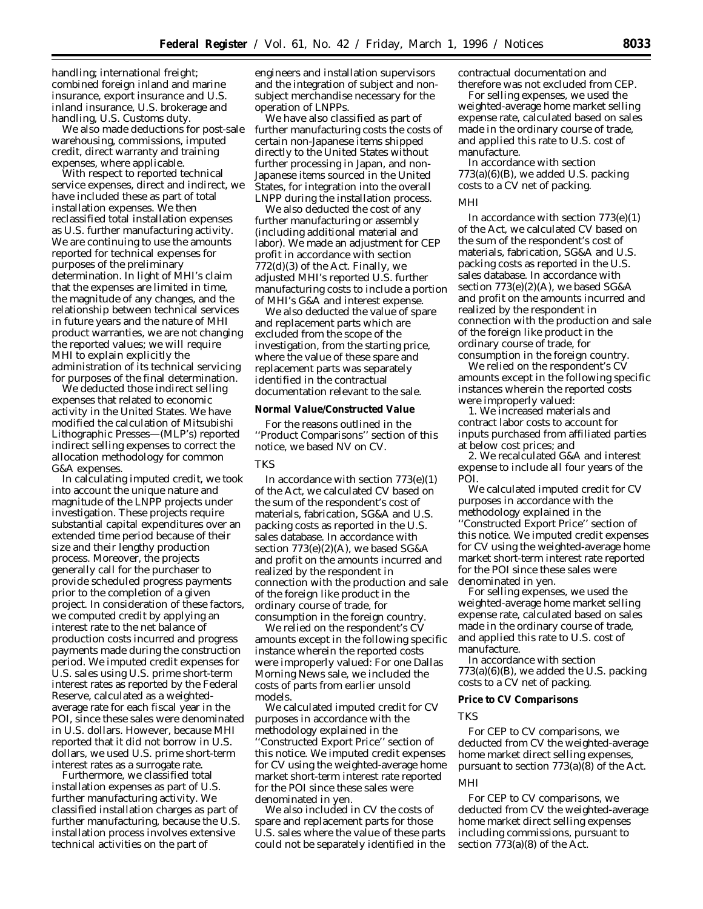handling; international freight; combined foreign inland and marine insurance, export insurance and U.S. inland insurance, U.S. brokerage and handling, U.S. Customs duty.

We also made deductions for post-sale warehousing, commissions, imputed credit, direct warranty and training expenses, where applicable.

With respect to reported technical service expenses, direct and indirect, we have included these as part of total installation expenses. We then reclassified total installation expenses as U.S. further manufacturing activity. We are continuing to use the amounts reported for technical expenses for purposes of the preliminary determination. In light of MHI's claim that the expenses are limited in time, the magnitude of any changes, and the relationship between technical services in future years and the nature of MHI product warranties, we are not changing the reported values; we will require MHI to explain explicitly the administration of its technical servicing for purposes of the final determination.

We deducted those indirect selling expenses that related to economic activity in the United States. We have modified the calculation of Mitsubishi Lithographic Presses—(MLP's) reported indirect selling expenses to correct the allocation methodology for common G&A expenses.

In calculating imputed credit, we took into account the unique nature and magnitude of the LNPP projects under investigation. These projects require substantial capital expenditures over an extended time period because of their size and their lengthy production process. Moreover, the projects generally call for the purchaser to provide scheduled progress payments prior to the completion of a given project. In consideration of these factors, we computed credit by applying an interest rate to the net balance of production costs incurred and progress payments made during the construction period. We imputed credit expenses for U.S. sales using U.S. prime short-term interest rates as reported by the Federal Reserve, calculated as a weightedaverage rate for each fiscal year in the POI, since these sales were denominated in U.S. dollars. However, because MHI reported that it did not borrow in U.S. dollars, we used U.S. prime short-term interest rates as a surrogate rate.

Furthermore, we classified total installation expenses as part of U.S. further manufacturing activity. We classified installation charges as part of further manufacturing, because the U.S. installation process involves extensive technical activities on the part of

engineers and installation supervisors and the integration of subject and nonsubject merchandise necessary for the operation of LNPPs.

We have also classified as part of further manufacturing costs the costs of certain non-Japanese items shipped directly to the United States without further processing in Japan, and non-Japanese items sourced in the United States, for integration into the overall LNPP during the installation process.

We also deducted the cost of any further manufacturing or assembly (including additional material and labor). We made an adjustment for CEP profit in accordance with section 772(d)(3) of the Act. Finally, we adjusted MHI's reported U.S. further manufacturing costs to include a portion of MHI's G&A and interest expense.

We also deducted the value of spare and replacement parts which are excluded from the scope of the investigation, from the starting price, where the value of these spare and replacement parts was separately identified in the contractual documentation relevant to the sale.

#### **Normal Value/Constructed Value**

For the reasons outlined in the ''Product Comparisons'' section of this notice, we based NV on CV.

#### *TKS*

In accordance with section 773(e)(1) of the Act, we calculated CV based on the sum of the respondent's cost of materials, fabrication, SG&A and U.S. packing costs as reported in the U.S. sales database. In accordance with section 773(e)(2)(A), we based SG&A and profit on the amounts incurred and realized by the respondent in connection with the production and sale of the foreign like product in the ordinary course of trade, for consumption in the foreign country.

We relied on the respondent's CV amounts except in the following specific instance wherein the reported costs were improperly valued: For one Dallas Morning News sale, we included the costs of parts from earlier unsold models.

We calculated imputed credit for CV purposes in accordance with the methodology explained in the ''Constructed Export Price'' section of this notice. We imputed credit expenses for CV using the weighted-average home market short-term interest rate reported for the POI since these sales were denominated in yen.

We also included in CV the costs of spare and replacement parts for those U.S. sales where the value of these parts could not be separately identified in the

contractual documentation and therefore was not excluded from CEP.

For selling expenses, we used the weighted-average home market selling expense rate, calculated based on sales made in the ordinary course of trade, and applied this rate to U.S. cost of manufacture.

In accordance with section 773(a)(6)(B), we added U.S. packing costs to a CV net of packing.

### *MHI*

In accordance with section 773(e)(1) of the Act, we calculated CV based on the sum of the respondent's cost of materials, fabrication, SG&A and U.S. packing costs as reported in the U.S. sales database. In accordance with section 773(e)(2)(A), we based SG&A and profit on the amounts incurred and realized by the respondent in connection with the production and sale of the foreign like product in the ordinary course of trade, for consumption in the foreign country.

We relied on the respondent's CV amounts except in the following specific instances wherein the reported costs were improperly valued:

1. We increased materials and contract labor costs to account for inputs purchased from affiliated parties at below cost prices; and

2. We recalculated G&A and interest expense to include all four years of the POI.

We calculated imputed credit for CV purposes in accordance with the methodology explained in the ''Constructed Export Price'' section of this notice. We imputed credit expenses for CV using the weighted-average home market short-term interest rate reported for the POI since these sales were denominated in yen.

For selling expenses, we used the weighted-average home market selling expense rate, calculated based on sales made in the ordinary course of trade, and applied this rate to U.S. cost of manufacture.

In accordance with section 773(a)(6)(B), we added the U.S. packing costs to a CV net of packing.

## **Price to CV Comparisons**

## *TKS*

For CEP to CV comparisons, we deducted from CV the weighted-average home market direct selling expenses, pursuant to section 773(a)(8) of the Act.

# *MHI*

For CEP to CV comparisons, we deducted from CV the weighted-average home market direct selling expenses including commissions, pursuant to section 773(a)(8) of the Act.